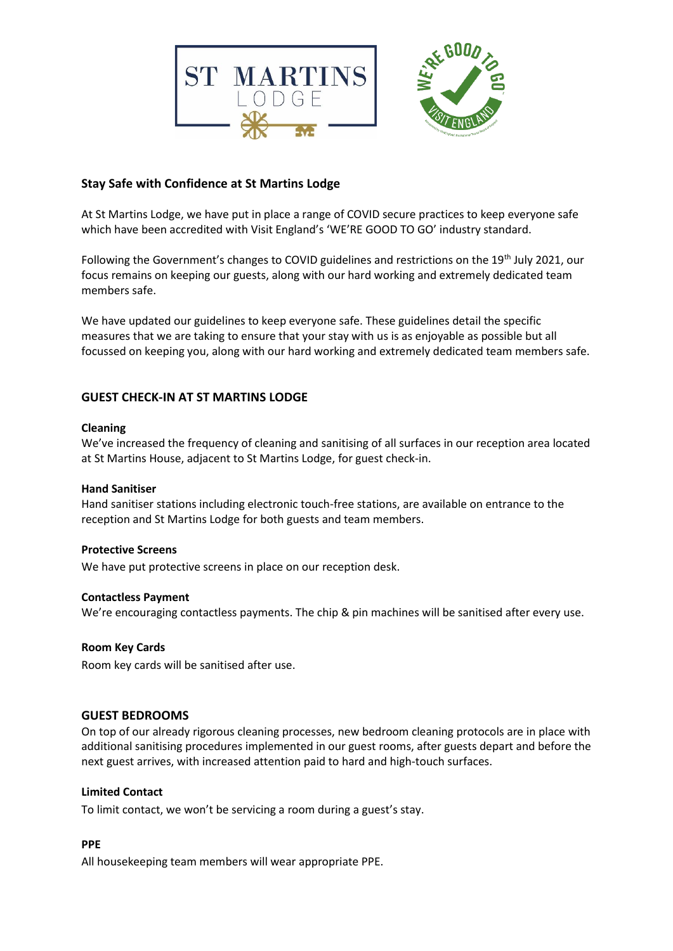

## **Stay Safe with Confidence at St Martins Lodge**

At St Martins Lodge, we have put in place a range of COVID secure practices to keep everyone safe which have been accredited with Visit England's 'WE'RE GOOD TO GO' industry standard.

Following the Government's changes to COVID guidelines and restrictions on the 19<sup>th</sup> July 2021, our focus remains on keeping our guests, along with our hard working and extremely dedicated team members safe.

We have updated our guidelines to keep everyone safe. These guidelines detail the specific measures that we are taking to ensure that your stay with us is as enjoyable as possible but all focussed on keeping you, along with our hard working and extremely dedicated team members safe.

# **GUEST CHECK-IN AT ST MARTINS LODGE**

#### **Cleaning**

We've increased the frequency of cleaning and sanitising of all surfaces in our reception area located at St Martins House, adjacent to St Martins Lodge, for guest check-in.

#### **Hand Sanitiser**

Hand sanitiser stations including electronic touch-free stations, are available on entrance to the reception and St Martins Lodge for both guests and team members.

#### **Protective Screens**

We have put protective screens in place on our reception desk.

#### **Contactless Payment**

We're encouraging contactless payments. The chip & pin machines will be sanitised after every use.

#### **Room Key Cards**

Room key cards will be sanitised after use.

## **GUEST BEDROOMS**

On top of our already rigorous cleaning processes, new bedroom cleaning protocols are in place with additional sanitising procedures implemented in our guest rooms, after guests depart and before the next guest arrives, with increased attention paid to hard and high-touch surfaces.

#### **Limited Contact**

To limit contact, we won't be servicing a room during a guest's stay.

#### **PPE**

All housekeeping team members will wear appropriate PPE.